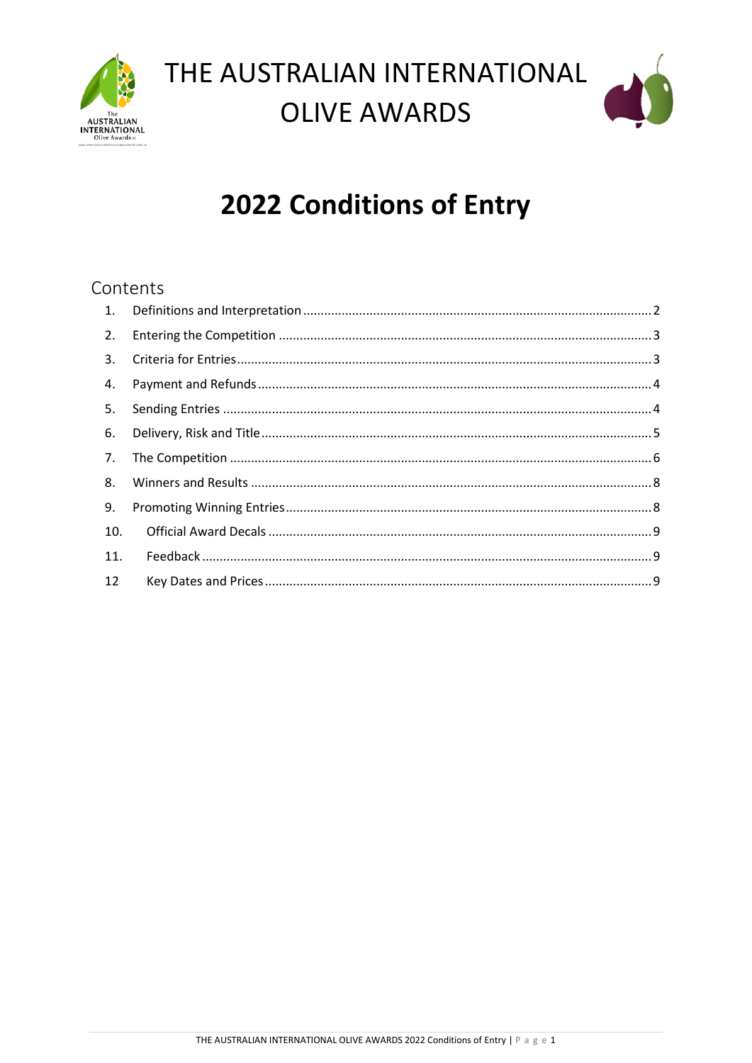

# THE AUSTRALIAN INTERNATIONAL **OLIVE AWARDS**



## **2022 Conditions of Entry**

## Contents

| 2.  |  |
|-----|--|
|     |  |
|     |  |
|     |  |
|     |  |
| 7.  |  |
| 8.  |  |
| 9.  |  |
| 10. |  |
| 11. |  |
| 12  |  |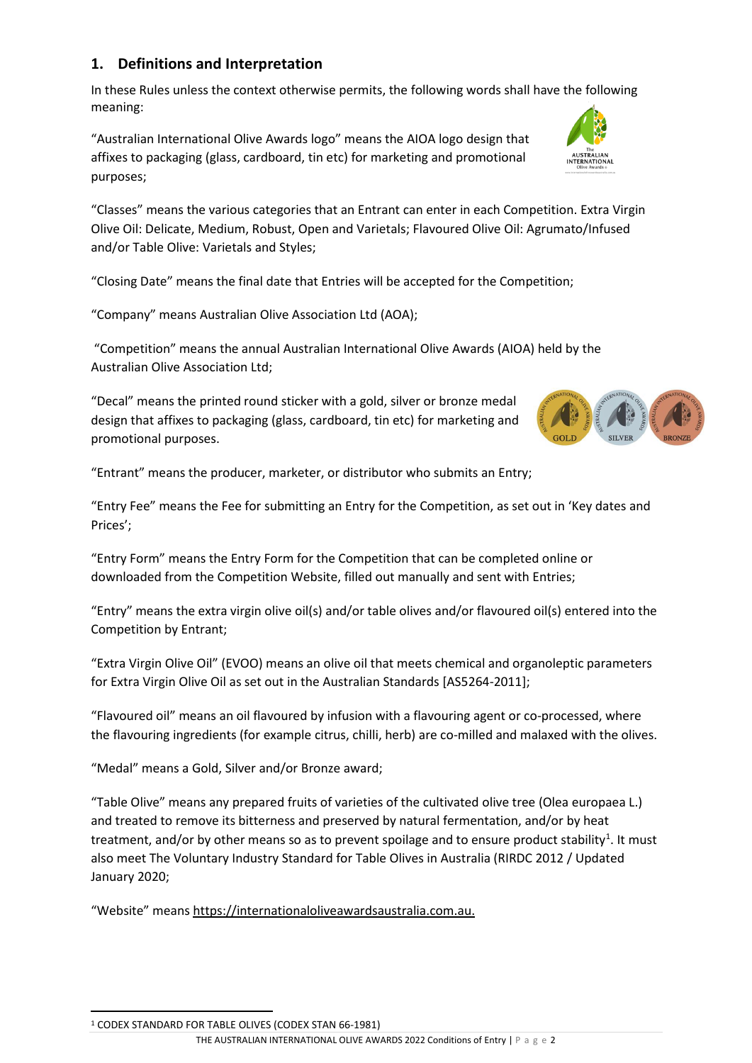## <span id="page-1-0"></span>**1. Definitions and Interpretation**

In these Rules unless the context otherwise permits, the following words shall have the following meaning:

"Australian International Olive Awards logo" means the AIOA logo design that affixes to packaging (glass, cardboard, tin etc) for marketing and promotional purposes;

"Classes" means the various categories that an Entrant can enter in each Competition. Extra Virgin Olive Oil: Delicate, Medium, Robust, Open and Varietals; Flavoured Olive Oil: Agrumato/Infused and/or Table Olive: Varietals and Styles;

"Closing Date" means the final date that Entries will be accepted for the Competition;

"Company" means Australian Olive Association Ltd (AOA);

"Competition" means the annual Australian International Olive Awards (AIOA) held by the Australian Olive Association Ltd;

"Decal" means the printed round sticker with a gold, silver or bronze medal design that affixes to packaging (glass, cardboard, tin etc) for marketing and promotional purposes.

"Entrant" means the producer, marketer, or distributor who submits an Entry;

"Entry Fee" means the Fee for submitting an Entry for the Competition, as set out in 'Key dates and Prices';

"Entry Form" means the Entry Form for the Competition that can be completed online or downloaded from the Competition Website, filled out manually and sent with Entries;

"Entry" means the extra virgin olive oil(s) and/or table olives and/or flavoured oil(s) entered into the Competition by Entrant;

"Extra Virgin Olive Oil" (EVOO) means an olive oil that meets chemical and organoleptic parameters for Extra Virgin Olive Oil as set out in the Australian Standards [AS5264-2011];

"Flavoured oil" means an oil flavoured by infusion with a flavouring agent or co-processed, where the flavouring ingredients (for example citrus, chilli, herb) are co-milled and malaxed with the olives.

"Medal" means a Gold, Silver and/or Bronze award;

"Table Olive" means any prepared fruits of varieties of the cultivated olive tree (Olea europaea L.) and treated to remove its bitterness and preserved by natural fermentation, and/or by heat treatment, and/or by other means so as to prevent spoilage and to ensure product stability<sup>[1](#page-1-1)</sup>. It must also meet The Voluntary Industry Standard for Table Olives in Australia (RIRDC 2012 / Updated January 2020;

"Website" means [https://internationaloliveawardsaustralia.com.au.](https://internationaloliveawardsaustralia.com.au/)





<span id="page-1-1"></span><sup>1</sup> CODEX STANDARD FOR TABLE OLIVES (CODEX STAN 66-1981)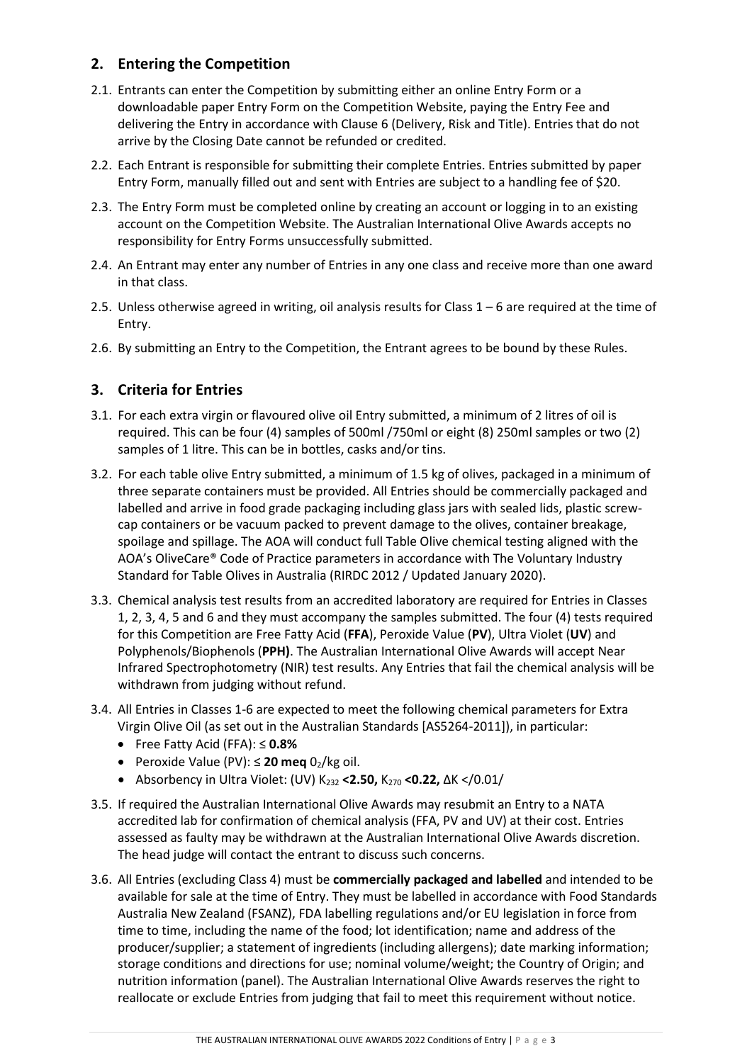## <span id="page-2-0"></span>**2. Entering the Competition**

- 2.1. Entrants can enter the Competition by submitting either an online Entry Form or a downloadable paper Entry Form on the Competition Website, paying the Entry Fee and delivering the Entry in accordance with Clause 6 (Delivery, Risk and Title). Entries that do not arrive by the Closing Date cannot be refunded or credited.
- 2.2. Each Entrant is responsible for submitting their complete Entries. Entries submitted by paper Entry Form, manually filled out and sent with Entries are subject to a handling fee of \$20.
- 2.3. The Entry Form must be completed online by creating an account or logging in to an existing account on the Competition Website. The Australian International Olive Awards accepts no responsibility for Entry Forms unsuccessfully submitted.
- 2.4. An Entrant may enter any number of Entries in any one class and receive more than one award in that class.
- 2.5. Unless otherwise agreed in writing, oil analysis results for Class 1 6 are required at the time of Entry.
- 2.6. By submitting an Entry to the Competition, the Entrant agrees to be bound by these Rules.

## <span id="page-2-1"></span>**3. Criteria for Entries**

- 3.1. For each extra virgin or flavoured olive oil Entry submitted, a minimum of 2 litres of oil is required. This can be four (4) samples of 500ml /750ml or eight (8) 250ml samples or two (2) samples of 1 litre. This can be in bottles, casks and/or tins.
- 3.2. For each table olive Entry submitted, a minimum of 1.5 kg of olives, packaged in a minimum of three separate containers must be provided. All Entries should be commercially packaged and labelled and arrive in food grade packaging including glass jars with sealed lids, plastic screwcap containers or be vacuum packed to prevent damage to the olives, container breakage, spoilage and spillage. The AOA will conduct full Table Olive chemical testing aligned with the AOA's OliveCare® Code of Practice parameters in accordance with The Voluntary Industry Standard for Table Olives in Australia (RIRDC 2012 / Updated January 2020).
- 3.3. Chemical analysis test results from an accredited laboratory are required for Entries in Classes 1, 2, 3, 4, 5 and 6 and they must accompany the samples submitted. The four (4) tests required for this Competition are Free Fatty Acid (**FFA**), Peroxide Value (**PV**), Ultra Violet (**UV**) and Polyphenols/Biophenols (**PPH)**. The Australian International Olive Awards will accept Near Infrared Spectrophotometry (NIR) test results. Any Entries that fail the chemical analysis will be withdrawn from judging without refund.
- 3.4. All Entries in Classes 1-6 are expected to meet the following chemical parameters for Extra Virgin Olive Oil (as set out in the Australian Standards [AS5264-2011]), in particular:
	- Free Fatty Acid (FFA): ≤ **0.8%**
	- Peroxide Value (PV):  $\leq$  **20 meg** 0<sub>2</sub>/kg oil.
	- Absorbency in Ultra Violet: (UV) K232 **<2.50,** K270 **<0.22,** ∆K </0.01/
- 3.5. If required the Australian International Olive Awards may resubmit an Entry to a NATA accredited lab for confirmation of chemical analysis (FFA, PV and UV) at their cost. Entries assessed as faulty may be withdrawn at the Australian International Olive Awards discretion. The head judge will contact the entrant to discuss such concerns.
- 3.6. All Entries (excluding Class 4) must be **commercially packaged and labelled** and intended to be available for sale at the time of Entry. They must be labelled in accordance with Food Standards Australia New Zealand (FSANZ), FDA labelling regulations and/or EU legislation in force from time to time, including the name of the food; lot identification; name and address of the producer/supplier; a statement of ingredients (including allergens); date marking information; storage conditions and directions for use; nominal volume/weight; the Country of Origin; and nutrition information (panel). The Australian International Olive Awards reserves the right to reallocate or exclude Entries from judging that fail to meet this requirement without notice.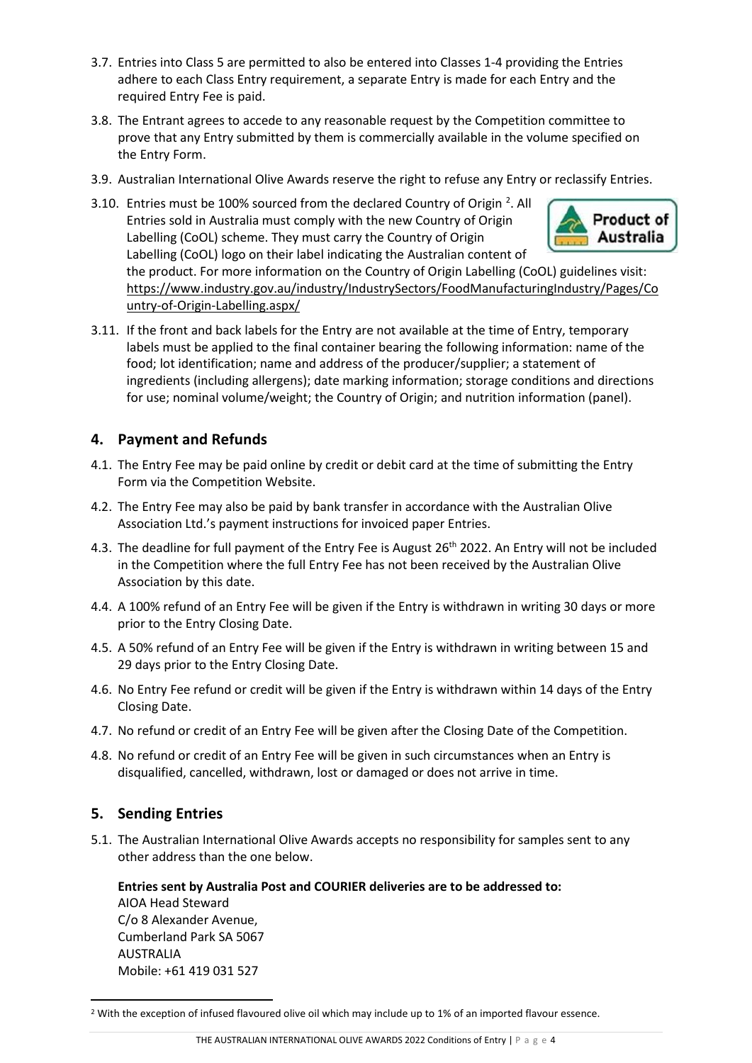- 3.7. Entries into Class 5 are permitted to also be entered into Classes 1-4 providing the Entries adhere to each Class Entry requirement, a separate Entry is made for each Entry and the required Entry Fee is paid.
- 3.8. The Entrant agrees to accede to any reasonable request by the Competition committee to prove that any Entry submitted by them is commercially available in the volume specified on the Entry Form.
- 3.9. Australian International Olive Awards reserve the right to refuse any Entry or reclassify Entries.
- 3.10. Entries must be 100% sourced from the declared Country of Origin  $^2$  $^2$ . All **Product of** Entries sold in Australia must comply with the new Country of Origin Labelling (CoOL) scheme. They must carry the Country of Origin Australia Labelling (CoOL) logo on their label indicating the Australian content of the product. For more information on the Country of Origin Labelling (CoOL) guidelines visit: [https://www.industry.gov.au/industry/IndustrySectors/FoodManufacturingIndustry/Pages/Co](https://www.industry.gov.au/industry/IndustrySectors/FoodManufacturingIndustry/Pages/Country-of-Origin-Labelling.aspx/) [untry-of-Origin-Labelling.aspx/](https://www.industry.gov.au/industry/IndustrySectors/FoodManufacturingIndustry/Pages/Country-of-Origin-Labelling.aspx/)
- 3.11. If the front and back labels for the Entry are not available at the time of Entry, temporary labels must be applied to the final container bearing the following information: name of the food; lot identification; name and address of the producer/supplier; a statement of ingredients (including allergens); date marking information; storage conditions and directions for use; nominal volume/weight; the Country of Origin; and nutrition information (panel).

### <span id="page-3-0"></span>**4. Payment and Refunds**

- 4.1. The Entry Fee may be paid online by credit or debit card at the time of submitting the Entry Form via the Competition Website.
- 4.2. The Entry Fee may also be paid by bank transfer in accordance with the Australian Olive Association Ltd.'s payment instructions for invoiced paper Entries.
- 4.3. The deadline for full payment of the Entry Fee is August 26<sup>th</sup> 2022. An Entry will not be included in the Competition where the full Entry Fee has not been received by the Australian Olive Association by this date.
- 4.4. A 100% refund of an Entry Fee will be given if the Entry is withdrawn in writing 30 days or more prior to the Entry Closing Date.
- 4.5. A 50% refund of an Entry Fee will be given if the Entry is withdrawn in writing between 15 and 29 days prior to the Entry Closing Date.
- 4.6. No Entry Fee refund or credit will be given if the Entry is withdrawn within 14 days of the Entry Closing Date.
- 4.7. No refund or credit of an Entry Fee will be given after the Closing Date of the Competition.
- 4.8. No refund or credit of an Entry Fee will be given in such circumstances when an Entry is disqualified, cancelled, withdrawn, lost or damaged or does not arrive in time.

### <span id="page-3-1"></span>**5. Sending Entries**

5.1. The Australian International Olive Awards accepts no responsibility for samples sent to any other address than the one below.

#### **Entries sent by Australia Post and COURIER deliveries are to be addressed to:**

AIOA Head Steward C/o 8 Alexander Avenue, Cumberland Park SA 5067 AUSTRALIA Mobile: +61 419 031 527

<span id="page-3-2"></span><sup>&</sup>lt;sup>2</sup> With the exception of infused flavoured olive oil which may include up to 1% of an imported flavour essence.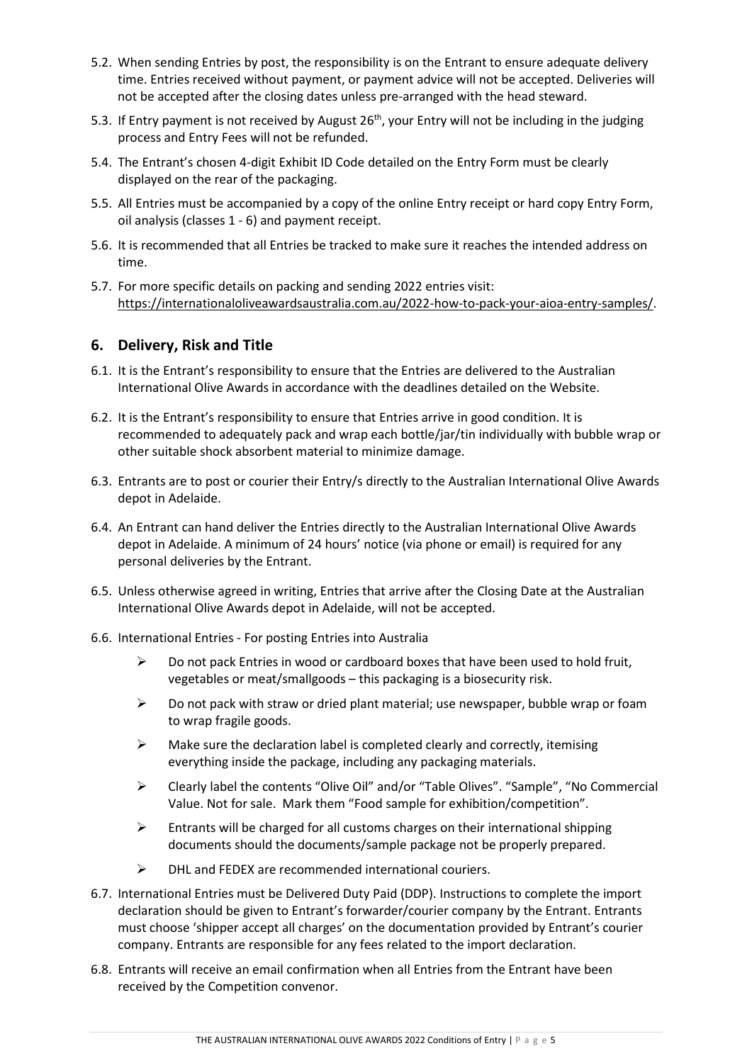- 5.2. When sending Entries by post, the responsibility is on the Entrant to ensure adequate delivery time. Entries received without payment, or payment advice will not be accepted. Deliveries will not be accepted after the closing dates unless pre-arranged with the head steward.
- 5.3. If Entry payment is not received by August 26<sup>th</sup>, your Entry will not be including in the judging process and Entry Fees will not be refunded.
- 5.4. The Entrant's chosen 4-digit Exhibit ID Code detailed on the Entry Form must be clearly displayed on the rear of the packaging.
- 5.5. All Entries must be accompanied by a copy of the online Entry receipt or hard copy Entry Form, oil analysis (classes 1 - 6) and payment receipt.
- 5.6. It is recommended that all Entries be tracked to make sure it reaches the intended address on time.
- 5.7. For more specific details on packing and sending 2022 entries visit: [https://internationaloliveawardsaustralia.com.au/2022-how-to-pack-your-aioa-entry-samples/.](https://internationaloliveawardsaustralia.com.au/2021-how-to-pack-your-aioa-entry-samples/)

#### <span id="page-4-0"></span>**6. Delivery, Risk and Title**

- 6.1. It is the Entrant's responsibility to ensure that the Entries are delivered to the Australian International Olive Awards in accordance with the deadlines detailed on the Website.
- 6.2. It is the Entrant's responsibility to ensure that Entries arrive in good condition. It is recommended to adequately pack and wrap each bottle/jar/tin individually with bubble wrap or other suitable shock absorbent material to minimize damage.
- 6.3. Entrants are to post or courier their Entry/s directly to the Australian International Olive Awards depot in Adelaide.
- 6.4. An Entrant can hand deliver the Entries directly to the Australian International Olive Awards depot in Adelaide. A minimum of 24 hours' notice (via phone or email) is required for any personal deliveries by the Entrant.
- 6.5. Unless otherwise agreed in writing, Entries that arrive after the Closing Date at the Australian International Olive Awards depot in Adelaide, will not be accepted.
- 6.6. International Entries For posting Entries into Australia
	- $\triangleright$  Do not pack Entries in wood or cardboard boxes that have been used to hold fruit, vegetables or meat/smallgoods – this packaging is a biosecurity risk.
	- $\triangleright$  Do not pack with straw or dried plant material; use newspaper, bubble wrap or foam to wrap fragile goods.
	- $\triangleright$  Make sure the declaration label is completed clearly and correctly, itemising everything inside the package, including any packaging materials.
	- Clearly label the contents "Olive Oil" and/or "Table Olives". "Sample", "No Commercial Value. Not for sale. Mark them "Food sample for exhibition/competition".
	- $\triangleright$  Entrants will be charged for all customs charges on their international shipping documents should the documents/sample package not be properly prepared.
	- $\triangleright$  DHL and FEDEX are recommended international couriers.
- 6.7. International Entries must be Delivered Duty Paid (DDP). Instructions to complete the import declaration should be given to Entrant's forwarder/courier company by the Entrant. Entrants must choose 'shipper accept all charges' on the documentation provided by Entrant's courier company. Entrants are responsible for any fees related to the import declaration.
- 6.8. Entrants will receive an email confirmation when all Entries from the Entrant have been received by the Competition convenor.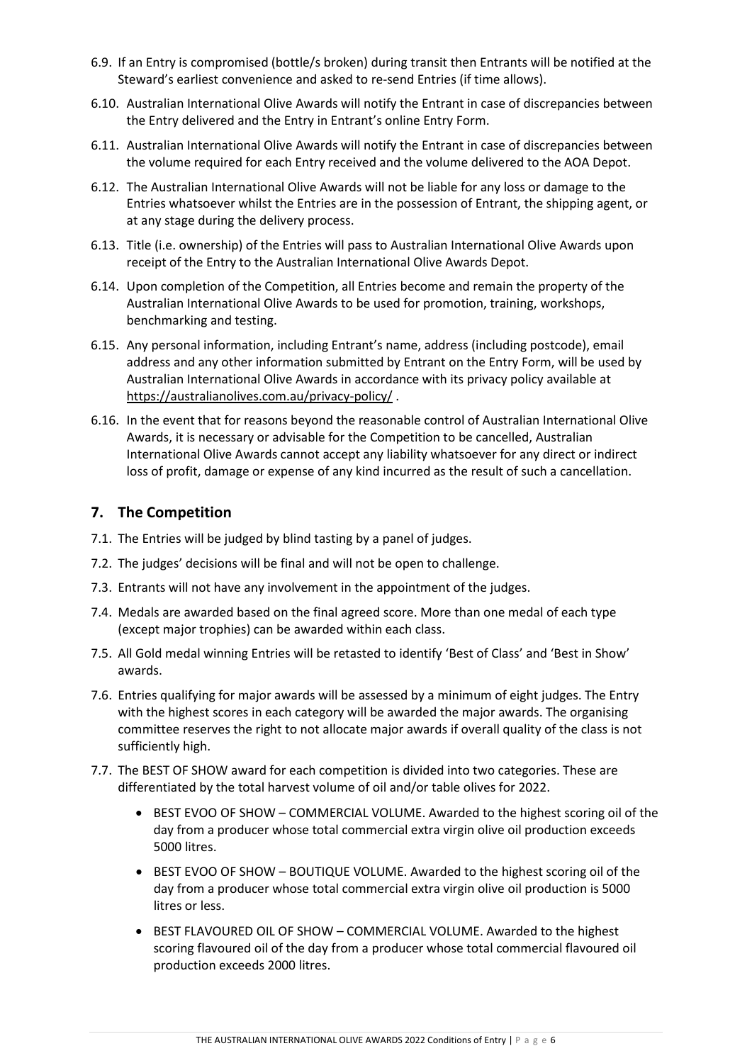- 6.9. If an Entry is compromised (bottle/s broken) during transit then Entrants will be notified at the Steward's earliest convenience and asked to re-send Entries (if time allows).
- 6.10. Australian International Olive Awards will notify the Entrant in case of discrepancies between the Entry delivered and the Entry in Entrant's online Entry Form.
- 6.11. Australian International Olive Awards will notify the Entrant in case of discrepancies between the volume required for each Entry received and the volume delivered to the AOA Depot.
- 6.12. The Australian International Olive Awards will not be liable for any loss or damage to the Entries whatsoever whilst the Entries are in the possession of Entrant, the shipping agent, or at any stage during the delivery process.
- 6.13. Title (i.e. ownership) of the Entries will pass to Australian International Olive Awards upon receipt of the Entry to the Australian International Olive Awards Depot.
- 6.14. Upon completion of the Competition, all Entries become and remain the property of the Australian International Olive Awards to be used for promotion, training, workshops, benchmarking and testing.
- 6.15. Any personal information, including Entrant's name, address (including postcode), email address and any other information submitted by Entrant on the Entry Form, will be used by Australian International Olive Awards in accordance with its privacy policy available at <https://australianolives.com.au/privacy-policy/>.
- 6.16. In the event that for reasons beyond the reasonable control of Australian International Olive Awards, it is necessary or advisable for the Competition to be cancelled, Australian International Olive Awards cannot accept any liability whatsoever for any direct or indirect loss of profit, damage or expense of any kind incurred as the result of such a cancellation.

### <span id="page-5-0"></span>**7. The Competition**

- 7.1. The Entries will be judged by blind tasting by a panel of judges.
- 7.2. The judges' decisions will be final and will not be open to challenge.
- 7.3. Entrants will not have any involvement in the appointment of the judges.
- 7.4. Medals are awarded based on the final agreed score. More than one medal of each type (except major trophies) can be awarded within each class.
- 7.5. All Gold medal winning Entries will be retasted to identify 'Best of Class' and 'Best in Show' awards.
- 7.6. Entries qualifying for major awards will be assessed by a minimum of eight judges. The Entry with the highest scores in each category will be awarded the major awards. The organising committee reserves the right to not allocate major awards if overall quality of the class is not sufficiently high.
- 7.7. The BEST OF SHOW award for each competition is divided into two categories. These are differentiated by the total harvest volume of oil and/or table olives for 2022.
	- BEST EVOO OF SHOW COMMERCIAL VOLUME. Awarded to the highest scoring oil of the day from a producer whose total commercial extra virgin olive oil production exceeds 5000 litres.
	- BEST EVOO OF SHOW BOUTIQUE VOLUME. Awarded to the highest scoring oil of the day from a producer whose total commercial extra virgin olive oil production is 5000 litres or less.
	- BEST FLAVOURED OIL OF SHOW COMMERCIAL VOLUME. Awarded to the highest scoring flavoured oil of the day from a producer whose total commercial flavoured oil production exceeds 2000 litres.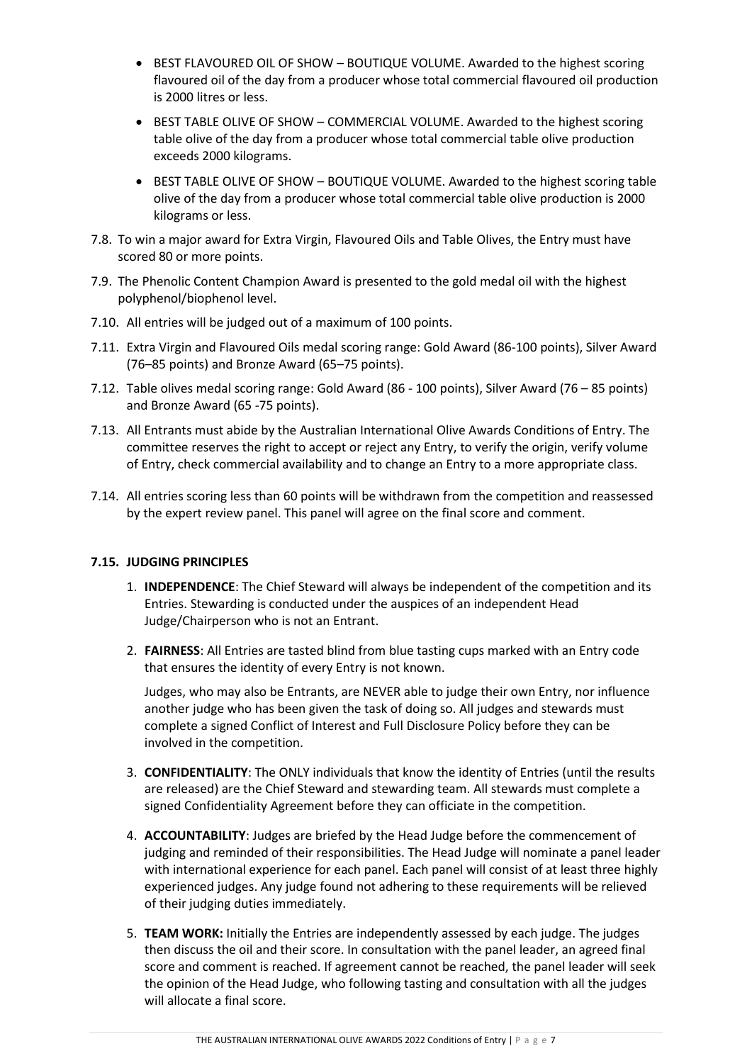- BEST FLAVOURED OIL OF SHOW BOUTIQUE VOLUME. Awarded to the highest scoring flavoured oil of the day from a producer whose total commercial flavoured oil production is 2000 litres or less.
- BEST TABLE OLIVE OF SHOW COMMERCIAL VOLUME. Awarded to the highest scoring table olive of the day from a producer whose total commercial table olive production exceeds 2000 kilograms.
- BEST TABLE OLIVE OF SHOW BOUTIQUE VOLUME. Awarded to the highest scoring table olive of the day from a producer whose total commercial table olive production is 2000 kilograms or less.
- 7.8. To win a major award for Extra Virgin, Flavoured Oils and Table Olives, the Entry must have scored 80 or more points.
- 7.9. The Phenolic Content Champion Award is presented to the gold medal oil with the highest polyphenol/biophenol level.
- 7.10. All entries will be judged out of a maximum of 100 points.
- 7.11. Extra Virgin and Flavoured Oils medal scoring range: Gold Award (86-100 points), Silver Award (76–85 points) and Bronze Award (65–75 points).
- 7.12. Table olives medal scoring range: Gold Award (86 100 points), Silver Award (76 85 points) and Bronze Award (65 -75 points).
- 7.13. All Entrants must abide by the Australian International Olive Awards Conditions of Entry. The committee reserves the right to accept or reject any Entry, to verify the origin, verify volume of Entry, check commercial availability and to change an Entry to a more appropriate class.
- 7.14. All entries scoring less than 60 points will be withdrawn from the competition and reassessed by the expert review panel. This panel will agree on the final score and comment.

#### **7.15. JUDGING PRINCIPLES**

- 1. **INDEPENDENCE**: The Chief Steward will always be independent of the competition and its Entries. Stewarding is conducted under the auspices of an independent Head Judge/Chairperson who is not an Entrant.
- 2. **FAIRNESS**: All Entries are tasted blind from blue tasting cups marked with an Entry code that ensures the identity of every Entry is not known.

Judges, who may also be Entrants, are NEVER able to judge their own Entry, nor influence another judge who has been given the task of doing so. All judges and stewards must complete a signed Conflict of Interest and Full Disclosure Policy before they can be involved in the competition.

- 3. **CONFIDENTIALITY**: The ONLY individuals that know the identity of Entries (until the results are released) are the Chief Steward and stewarding team. All stewards must complete a signed Confidentiality Agreement before they can officiate in the competition.
- 4. **ACCOUNTABILITY**: Judges are briefed by the Head Judge before the commencement of judging and reminded of their responsibilities. The Head Judge will nominate a panel leader with international experience for each panel. Each panel will consist of at least three highly experienced judges. Any judge found not adhering to these requirements will be relieved of their judging duties immediately.
- 5. **TEAM WORK:** Initially the Entries are independently assessed by each judge. The judges then discuss the oil and their score. In consultation with the panel leader, an agreed final score and comment is reached. If agreement cannot be reached, the panel leader will seek the opinion of the Head Judge, who following tasting and consultation with all the judges will allocate a final score.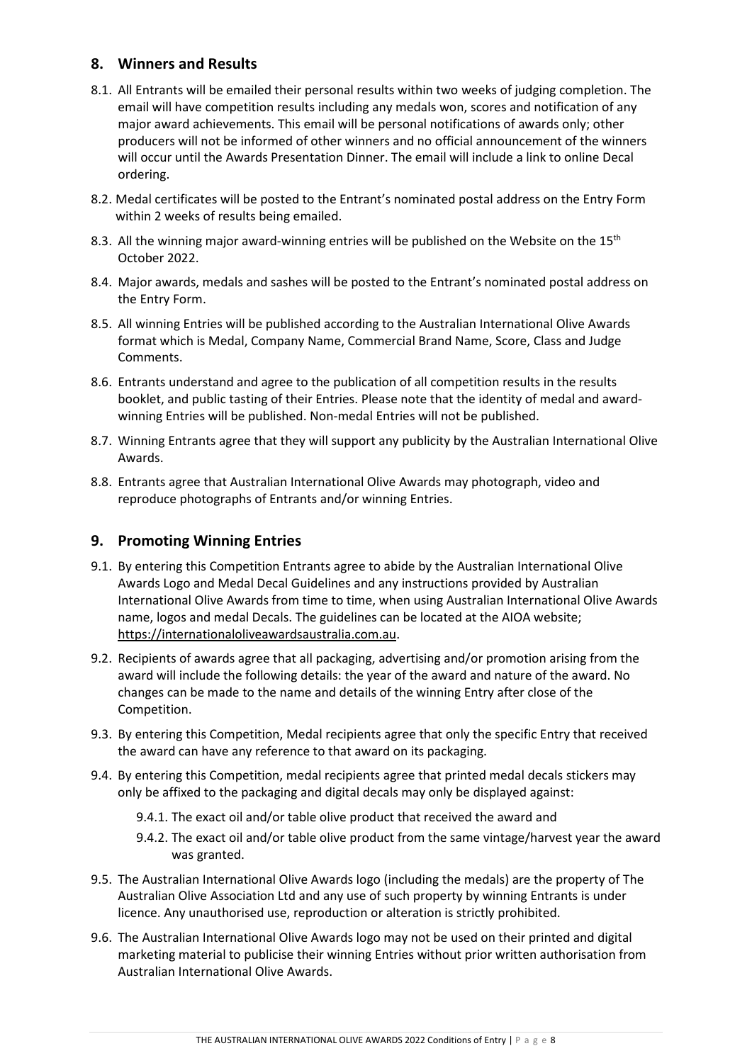## <span id="page-7-0"></span>**8. Winners and Results**

- 8.1. All Entrants will be emailed their personal results within two weeks of judging completion. The email will have competition results including any medals won, scores and notification of any major award achievements. This email will be personal notifications of awards only; other producers will not be informed of other winners and no official announcement of the winners will occur until the Awards Presentation Dinner. The email will include a link to online Decal ordering.
- 8.2. Medal certificates will be posted to the Entrant's nominated postal address on the Entry Form within 2 weeks of results being emailed.
- 8.3. All the winning major award-winning entries will be published on the Website on the 15<sup>th</sup> October 2022.
- 8.4. Major awards, medals and sashes will be posted to the Entrant's nominated postal address on the Entry Form.
- 8.5. All winning Entries will be published according to the Australian International Olive Awards format which is Medal, Company Name, Commercial Brand Name, Score, Class and Judge Comments.
- 8.6. Entrants understand and agree to the publication of all competition results in the results booklet, and public tasting of their Entries. Please note that the identity of medal and awardwinning Entries will be published. Non-medal Entries will not be published.
- 8.7. Winning Entrants agree that they will support any publicity by the Australian International Olive Awards.
- 8.8. Entrants agree that Australian International Olive Awards may photograph, video and reproduce photographs of Entrants and/or winning Entries.

### <span id="page-7-1"></span>**9. Promoting Winning Entries**

- 9.1. By entering this Competition Entrants agree to abide by the Australian International Olive Awards Logo and Medal Decal Guidelines and any instructions provided by Australian International Olive Awards from time to time, when using Australian International Olive Awards name, logos and medal Decals. The guidelines can be located at the AIOA website; [https://internationaloliveawardsaustralia.com.au.](https://internationaloliveawardsaustralia.com.au/)
- 9.2. Recipients of awards agree that all packaging, advertising and/or promotion arising from the award will include the following details: the year of the award and nature of the award. No changes can be made to the name and details of the winning Entry after close of the Competition.
- 9.3. By entering this Competition, Medal recipients agree that only the specific Entry that received the award can have any reference to that award on its packaging.
- 9.4. By entering this Competition, medal recipients agree that printed medal decals stickers may only be affixed to the packaging and digital decals may only be displayed against:
	- 9.4.1. The exact oil and/or table olive product that received the award and
	- 9.4.2. The exact oil and/or table olive product from the same vintage/harvest year the award was granted.
- 9.5. The Australian International Olive Awards logo (including the medals) are the property of The Australian Olive Association Ltd and any use of such property by winning Entrants is under licence. Any unauthorised use, reproduction or alteration is strictly prohibited.
- 9.6. The Australian International Olive Awards logo may not be used on their printed and digital marketing material to publicise their winning Entries without prior written authorisation from Australian International Olive Awards.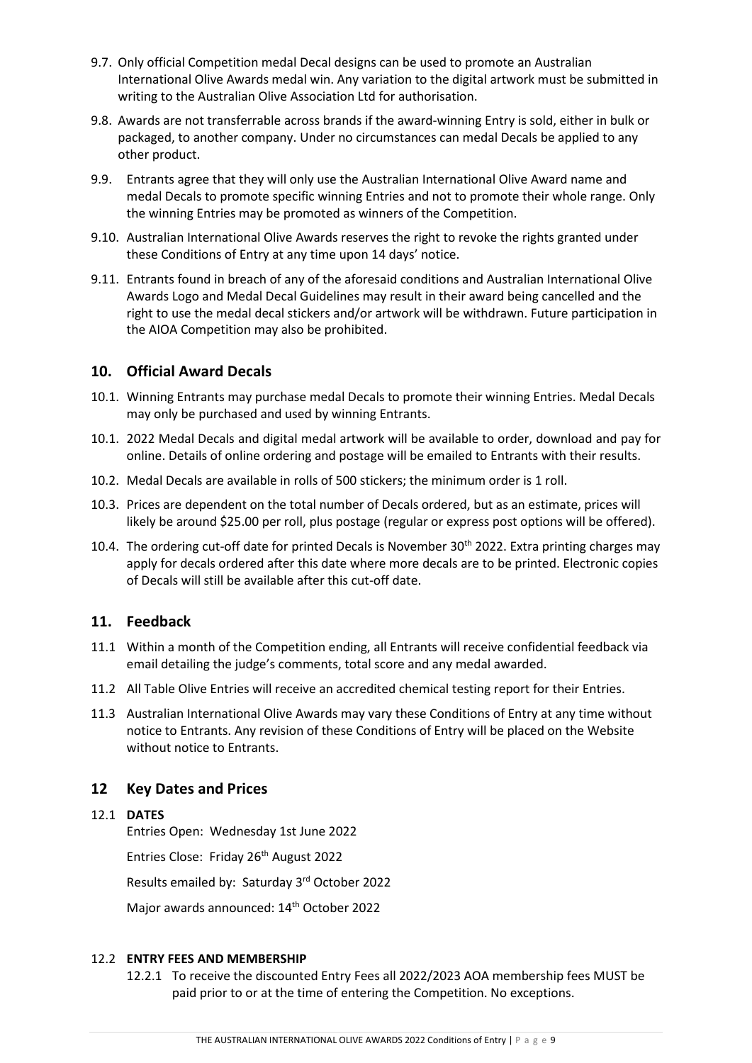- 9.7. Only official Competition medal Decal designs can be used to promote an Australian International Olive Awards medal win. Any variation to the digital artwork must be submitted in writing to the Australian Olive Association Ltd for authorisation.
- 9.8. Awards are not transferrable across brands if the award-winning Entry is sold, either in bulk or packaged, to another company. Under no circumstances can medal Decals be applied to any other product.
- 9.9. Entrants agree that they will only use the Australian International Olive Award name and medal Decals to promote specific winning Entries and not to promote their whole range. Only the winning Entries may be promoted as winners of the Competition.
- 9.10. Australian International Olive Awards reserves the right to revoke the rights granted under these Conditions of Entry at any time upon 14 days' notice.
- 9.11. Entrants found in breach of any of the aforesaid conditions and Australian International Olive Awards Logo and Medal Decal Guidelines may result in their award being cancelled and the right to use the medal decal stickers and/or artwork will be withdrawn. Future participation in the AIOA Competition may also be prohibited.

#### <span id="page-8-0"></span>**10. Official Award Decals**

- 10.1. Winning Entrants may purchase medal Decals to promote their winning Entries. Medal Decals may only be purchased and used by winning Entrants.
- 10.1. 2022 Medal Decals and digital medal artwork will be available to order, download and pay for online. Details of online ordering and postage will be emailed to Entrants with their results.
- 10.2. Medal Decals are available in rolls of 500 stickers; the minimum order is 1 roll.
- 10.3. Prices are dependent on the total number of Decals ordered, but as an estimate, prices will likely be around \$25.00 per roll, plus postage (regular or express post options will be offered).
- 10.4. The ordering cut-off date for printed Decals is November  $30<sup>th</sup>$  2022. Extra printing charges may apply for decals ordered after this date where more decals are to be printed. Electronic copies of Decals will still be available after this cut-off date.

### <span id="page-8-1"></span>**11. Feedback**

- 11.1 Within a month of the Competition ending, all Entrants will receive confidential feedback via email detailing the judge's comments, total score and any medal awarded.
- 11.2 All Table Olive Entries will receive an accredited chemical testing report for their Entries.
- 11.3 Australian International Olive Awards may vary these Conditions of Entry at any time without notice to Entrants. Any revision of these Conditions of Entry will be placed on the Website without notice to Entrants.

### <span id="page-8-2"></span>**12 Key Dates and Prices**

#### 12.1 **DATES**

Entries Open: Wednesday 1st June 2022 Entries Close: Friday 26<sup>th</sup> August 2022 Results emailed by: Saturday 3rd October 2022 Major awards announced: 14<sup>th</sup> October 2022

#### 12.2 **ENTRY FEES AND MEMBERSHIP**

12.2.1 To receive the discounted Entry Fees all 2022/2023 AOA membership fees MUST be paid prior to or at the time of entering the Competition. No exceptions.